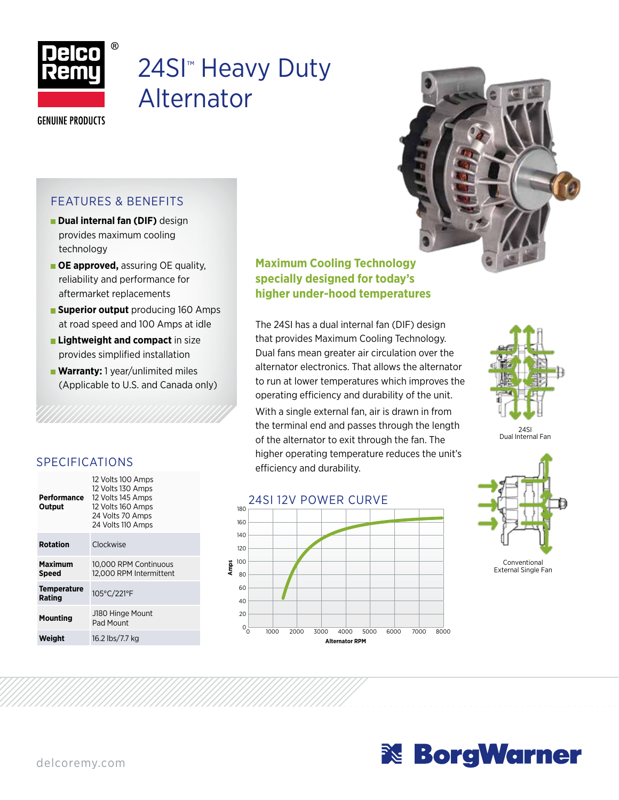

## 24SI<sup>™</sup> Heavy Duty Alternator

**GENUINE PRODUCTS** 

#### FEATURES & BENEFITS

- **Dual internal fan (DIF)** design provides maximum cooling technology
- **OE approved,** assuring OE quality, reliability and performance for aftermarket replacements
- **Superior output** producing 160 Amps at road speed and 100 Amps at idle
- **Lightweight and compact** in size provides simplified installation
- **Warranty:** 1 year/unlimited miles (Applicable to U.S. and Canada only)

#### **Maximum Cooling Technology specially designed for today's higher under-hood temperatures**

The 24SI has a dual internal fan (DIF) design that provides Maximum Cooling Technology. Dual fans mean greater air circulation over the alternator electronics. That allows the alternator to run at lower temperatures which improves the operating efficiency and durability of the unit. With a single external fan, air is drawn in from the terminal end and passes through the length of the alternator to exit through the fan. The higher operating temperature reduces the unit's SPECIFICATIONS Fight operating temperature of the second of the second of  $\frac{m}{2}$  efficiency and durability.





24SI Dual Internal Fan



| Performance<br>Output        | 12 Volts 100 Amps<br>12 Volts 130 Amps<br>12 Volts 145 Amps<br>12 Volts 160 Amps<br>24 Volts 70 Amps<br>24 Volts 110 Amps |
|------------------------------|---------------------------------------------------------------------------------------------------------------------------|
| <b>Rotation</b>              | Clockwise                                                                                                                 |
| Maximum<br><b>Speed</b>      | 10,000 RPM Continuous<br>12.000 RPM Intermittent                                                                          |
| <b>Temperature</b><br>Rating | 105°C/221°F                                                                                                               |
| Mounting                     | J180 Hinge Mount<br>Pad Mount                                                                                             |
| Weight                       | 16.2 lbs/7.7 kg                                                                                                           |

 $12.1 \times 10^{-12}$